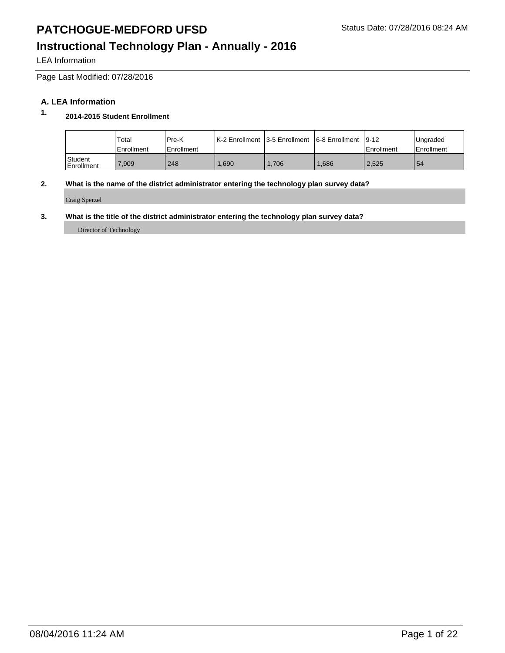LEA Information

Page Last Modified: 07/28/2016

### **A. LEA Information**

### **1. 2014-2015 Student Enrollment**

|                                    | Total<br>Enrollment | Pre-K<br>Enrollment | IK-2 Enrollment 13-5 Enrollment 16-8 Enrollment 19-12 |      |      | Enrollment | Ungraded<br><b>Enrollment</b> |
|------------------------------------|---------------------|---------------------|-------------------------------------------------------|------|------|------------|-------------------------------|
| <sup>1</sup> Student<br>Enrollment | .909                | 248                 | .690                                                  | .706 | .686 | 2,525      | 54                            |

#### **2. What is the name of the district administrator entering the technology plan survey data?**

Craig Sperzel

#### **3. What is the title of the district administrator entering the technology plan survey data?**

Director of Technology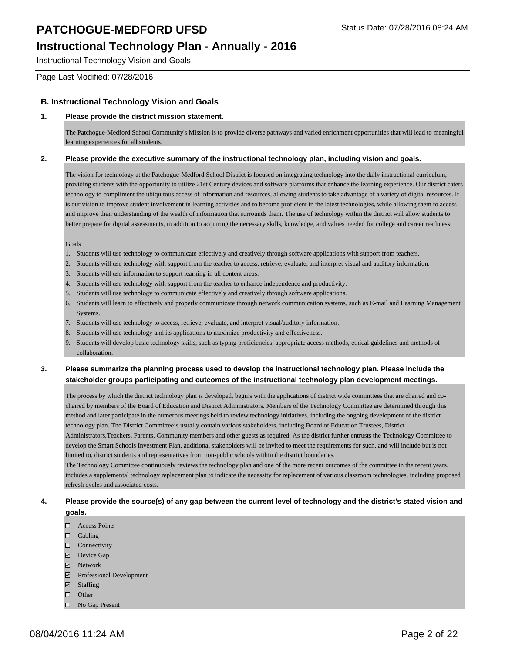Instructional Technology Vision and Goals

Page Last Modified: 07/28/2016

#### **B. Instructional Technology Vision and Goals**

#### **1. Please provide the district mission statement.**

The Patchogue-Medford School Community's Mission is to provide diverse pathways and varied enrichment opportunities that will lead to meaningful learning experiences for all students.

#### **2. Please provide the executive summary of the instructional technology plan, including vision and goals.**

The vision for technology at the Patchogue-Medford School District is focused on integrating technology into the daily instructional curriculum, providing students with the opportunity to utilize 21st Century devices and software platforms that enhance the learning experience. Our district caters technology to compliment the ubiquitous access of information and resources, allowing students to take advantage of a variety of digital resources. It is our vision to improve student involvement in learning activities and to become proficient in the latest technologies, while allowing them to access and improve their understanding of the wealth of information that surrounds them. The use of technology within the district will allow students to better prepare for digital assessments, in addition to acquiring the necessary skills, knowledge, and values needed for college and career readiness.

#### Goals

- 1. Students will use technology to communicate effectively and creatively through software applications with support from teachers.
- 2. Students will use technology with support from the teacher to access, retrieve, evaluate, and interpret visual and auditory information.
- 3. Students will use information to support learning in all content areas.
- 4. Students will use technology with support from the teacher to enhance independence and productivity.
- 5. Students will use technology to communicate effectively and creatively through software applications.
- 6. Students will learn to effectively and properly communicate through network communication systems, such as E-mail and Learning Management Systems.
- 7. Students will use technology to access, retrieve, evaluate, and interpret visual/auditory information.
- 8. Students will use technology and its applications to maximize productivity and effectiveness.
- 9. Students will develop basic technology skills, such as typing proficiencies, appropriate access methods, ethical guidelines and methods of collaboration.

#### **3. Please summarize the planning process used to develop the instructional technology plan. Please include the stakeholder groups participating and outcomes of the instructional technology plan development meetings.**

The process by which the district technology plan is developed, begins with the applications of district wide committees that are chaired and cochaired by members of the Board of Education and District Administrators. Members of the Technology Committee are determined through this method and later participate in the numerous meetings held to review technology initiatives, including the ongoing development of the district technology plan. The District Committee's usually contain various stakeholders, including Board of Education Trustees, District Administrators,Teachers, Parents, Community members and other guests as required. As the district further entrusts the Technology Committee to develop the Smart Schools Investment Plan, additional stakeholders will be invited to meet the requirements for such, and will include but is not

limited to, district students and representatives from non-public schools within the district boundaries.

The Technology Committee continuously reviews the technology plan and one of the more recent outcomes of the committee in the recent years, includes a supplemental technology replacement plan to indicate the necessity for replacement of various classroom technologies, including proposed refresh cycles and associated costs.

#### **4. Please provide the source(s) of any gap between the current level of technology and the district's stated vision and goals.**

- Access Points
- $\Box$  Cabling
- □ Connectivity
- Device Gap
- **Network**
- Professional Development
- Staffing
- □ Other
- □ No Gap Present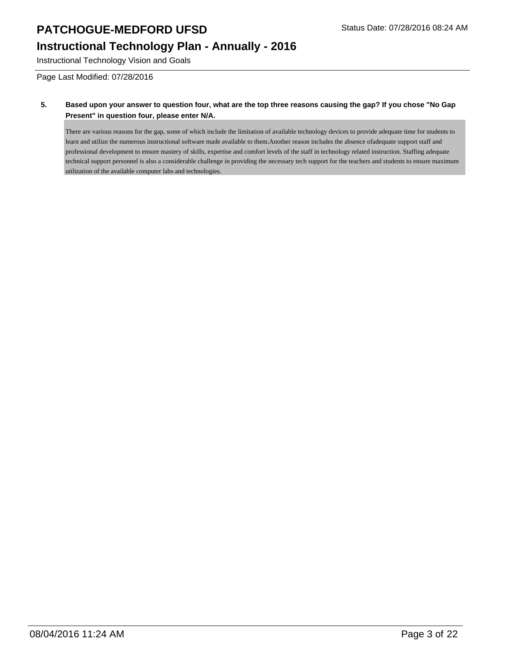Instructional Technology Vision and Goals

Page Last Modified: 07/28/2016

#### **5. Based upon your answer to question four, what are the top three reasons causing the gap? If you chose "No Gap Present" in question four, please enter N/A.**

There are various reasons for the gap, some of which include the limitation of available technology devices to provide adequate time for students to learn and utilize the numerous instructional software made available to them. Another reason includes the absence of adequate support staff and professional development to ensure mastery of skills, expertise and comfort levels of the staff in technology related instruction. Staffing adequate technical support personnel is also a considerable challenge in providing the necessary tech support for the teachers and students to ensure maximum utilization of the available computer labs and technologies.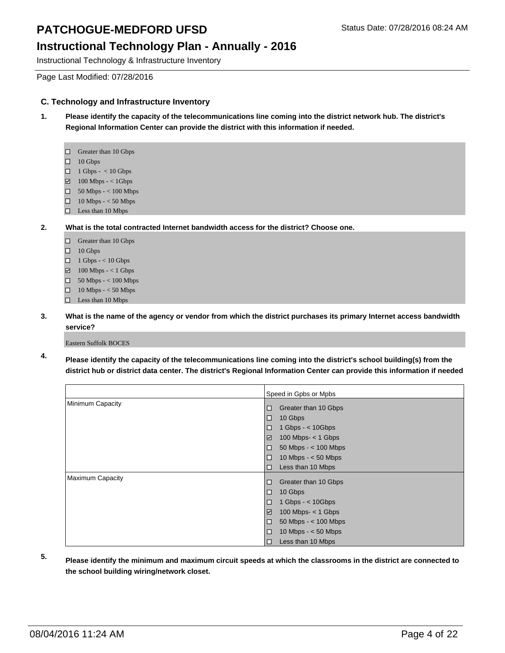### **Instructional Technology Plan - Annually - 2016**

Instructional Technology & Infrastructure Inventory

Page Last Modified: 07/28/2016

#### **C. Technology and Infrastructure Inventory**

- **1. Please identify the capacity of the telecommunications line coming into the district network hub. The district's Regional Information Center can provide the district with this information if needed.** 
	- □ Greater than 10 Gbps
	- $\Box$  10 Gbps
	- $\Box$  1 Gbps < 10 Gbps
	- $\Box$  100 Mbps < 1Gbps
	- $\Box$  50 Mbps < 100 Mbps
	- $\Box$  10 Mbps < 50 Mbps
	- $\square$  Less than 10 Mbps
- **2. What is the total contracted Internet bandwidth access for the district? Choose one.** 
	- Greater than 10 Gbps
	- $\Box$  10 Gbps
	- $\Box$  1 Gbps < 10 Gbps
	- $\boxtimes$  100 Mbps < 1 Gbps
	- $\Box$  50 Mbps < 100 Mbps
	- 10 Mbps < 50 Mbps
	- □ Less than 10 Mbps
- **3. What is the name of the agency or vendor from which the district purchases its primary Internet access bandwidth service?**

Eastern Suffolk BOCES

**4. Please identify the capacity of the telecommunications line coming into the district's school building(s) from the district hub or district data center. The district's Regional Information Center can provide this information if needed** 

|                         | Speed in Gpbs or Mpbs                |  |
|-------------------------|--------------------------------------|--|
| Minimum Capacity        | Greater than 10 Gbps<br>□            |  |
|                         | 10 Gbps<br>$\Box$                    |  |
|                         | 1 Gbps $-$ < 10 Gbps<br>□            |  |
|                         | 100 Mbps- $<$ 1 Gbps<br>$\checkmark$ |  |
|                         | 50 Mbps - $<$ 100 Mbps<br>□          |  |
|                         | 10 Mbps $- < 50$ Mbps<br>□           |  |
|                         | Less than 10 Mbps<br>$\Box$          |  |
| <b>Maximum Capacity</b> | Greater than 10 Gbps<br>$\Box$       |  |
|                         | 10 Gbps<br>□                         |  |
|                         | 1 Gbps $-$ < 10 Gbps<br>$\Box$       |  |
|                         | $\checkmark$<br>100 Mbps- $<$ 1 Gbps |  |
|                         | 50 Mbps - $<$ 100 Mbps<br>$\Box$     |  |
|                         | 10 Mbps $- < 50$ Mbps<br>□           |  |
|                         | Less than 10 Mbps<br>$\Box$          |  |

- 
- **5. Please identify the minimum and maximum circuit speeds at which the classrooms in the district are connected to the school building wiring/network closet.**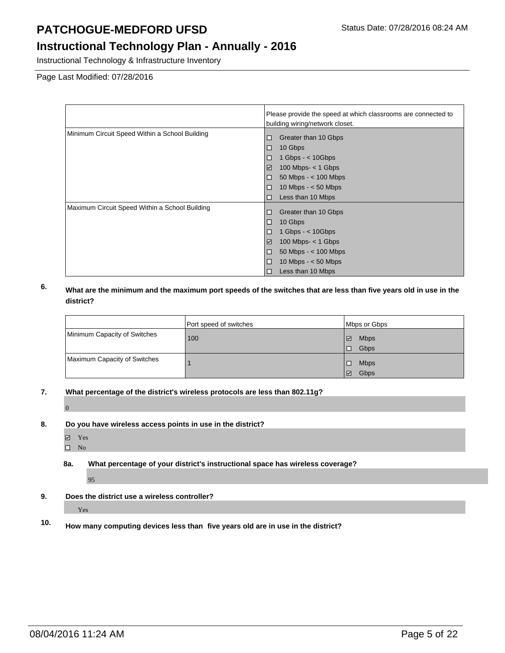Instructional Technology & Infrastructure Inventory

Page Last Modified: 07/28/2016

|                                                | Please provide the speed at which classrooms are connected to |  |
|------------------------------------------------|---------------------------------------------------------------|--|
|                                                | building wiring/network closet.                               |  |
| Minimum Circuit Speed Within a School Building | Greater than 10 Gbps<br>□                                     |  |
|                                                | 10 Gbps<br>$\Box$                                             |  |
|                                                | 1 Gbps $-$ < 10 Gbps<br>□                                     |  |
|                                                | 100 Mbps- $<$ 1 Gbps<br>$\blacktriangleright$                 |  |
|                                                | 50 Mbps - $<$ 100 Mbps<br>□                                   |  |
|                                                | 10 Mbps $- < 50$ Mbps<br>$\Box$                               |  |
|                                                | Less than 10 Mbps<br>П                                        |  |
| Maximum Circuit Speed Within a School Building | Greater than 10 Gbps<br>□                                     |  |
|                                                | 10 Gbps<br>$\Box$                                             |  |
|                                                | 1 Gbps $-$ < 10 Gbps<br>□                                     |  |
|                                                | $\checkmark$<br>$100$ Mbps- $<$ 1 Gbps                        |  |
|                                                | 50 Mbps - $<$ 100 Mbps<br>$\Box$                              |  |
|                                                | 10 Mbps $- < 50$ Mbps<br>$\Box$                               |  |
|                                                | Less than 10 Mbps<br>Л                                        |  |

### **6. What are the minimum and the maximum port speeds of the switches that are less than five years old in use in the district?**

|                              | Port speed of switches | Mbps or Gbps                        |
|------------------------------|------------------------|-------------------------------------|
| Minimum Capacity of Switches | 100                    | <b>Mbps</b><br>$\blacktriangledown$ |
|                              |                        | Gbps                                |
| Maximum Capacity of Switches |                        | <b>Mbps</b>                         |
|                              |                        | Gbps<br>$\blacktriangledown$        |

**7. What percentage of the district's wireless protocols are less than 802.11g?** 

 $\overline{0}$ 

- **8. Do you have wireless access points in use in the district?** 
	- Yes
	- $\square$  No
	- **8a. What percentage of your district's instructional space has wireless coverage?**

95

**9. Does the district use a wireless controller?** 

Yes

**10. How many computing devices less than five years old are in use in the district?**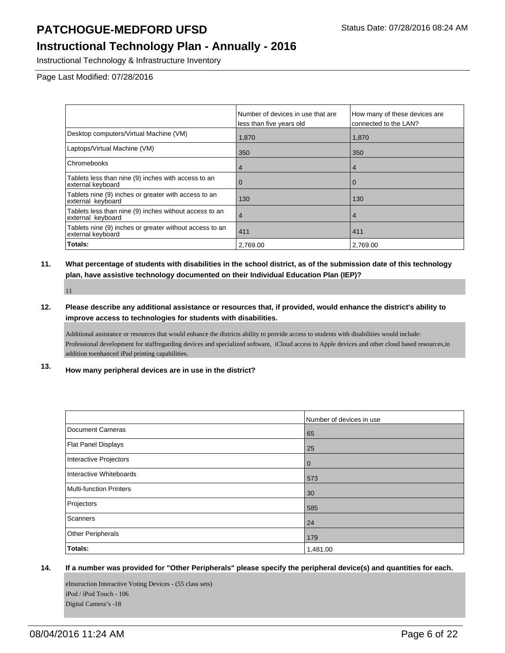Instructional Technology & Infrastructure Inventory

Page Last Modified: 07/28/2016

|                                                                              | Number of devices in use that are<br>less than five years old | How many of these devices are<br>connected to the LAN? |
|------------------------------------------------------------------------------|---------------------------------------------------------------|--------------------------------------------------------|
| Desktop computers/Virtual Machine (VM)                                       | 1,870                                                         | 1,870                                                  |
| Laptops/Virtual Machine (VM)                                                 | 350                                                           | 350                                                    |
| Chromebooks                                                                  | 4                                                             | $\overline{4}$                                         |
| Tablets less than nine (9) inches with access to an<br>external keyboard     | U                                                             | 0                                                      |
| Tablets nine (9) inches or greater with access to an<br>external keyboard    | 130                                                           | 130                                                    |
| Tablets less than nine (9) inches without access to an<br>external keyboard  | 4                                                             | 4                                                      |
| Tablets nine (9) inches or greater without access to an<br>external keyboard | 411                                                           | 411                                                    |
| Totals:                                                                      | 2.769.00                                                      | 2.769.00                                               |

### **11. What percentage of students with disabilities in the school district, as of the submission date of this technology plan, have assistive technology documented on their Individual Education Plan (IEP)?**

11

**12. Please describe any additional assistance or resources that, if provided, would enhance the district's ability to improve access to technologies for students with disabilities.** 

Additional assistance or resources that would enhance the districts ability to provide access to students with disabilities would include: Professional development for staffregarding devices and specialized software, iCloud access to Apple devices and other cloud based resources, in addition to enhanced iPad printing capabilities.

**13. How many peripheral devices are in use in the district?** 

|                         | Number of devices in use |
|-------------------------|--------------------------|
| Document Cameras        | 65                       |
| Flat Panel Displays     | 25                       |
| Interactive Projectors  | 0                        |
| Interactive Whiteboards | 573                      |
| Multi-function Printers | 30                       |
| Projectors              | 585                      |
| Scanners                | 24                       |
| Other Peripherals       | 179                      |
| Totals:                 | 1,481.00                 |

#### **14. If a number was provided for "Other Peripherals" please specify the peripheral device(s) and quantities for each.**

eInstruction Interactive Voting Devices - (55 class sets) iPod / iPod Touch - 106 Digital Camera's -18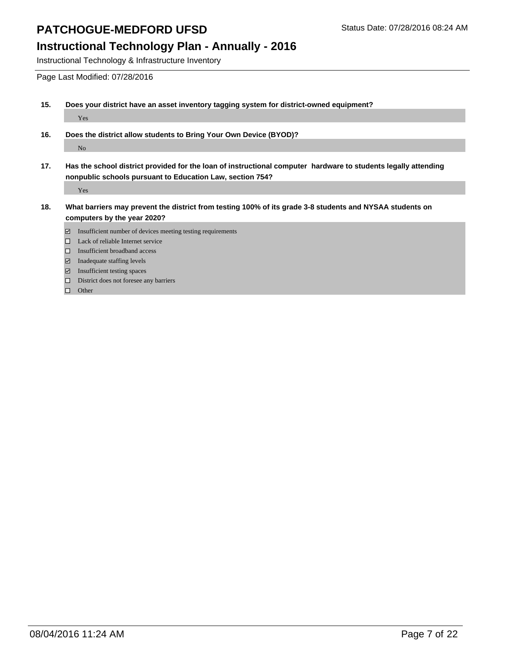Instructional Technology & Infrastructure Inventory

Page Last Modified: 07/28/2016

- **15. Does your district have an asset inventory tagging system for district-owned equipment?**  Yes
- **16. Does the district allow students to Bring Your Own Device (BYOD)?**  No
- **17. Has the school district provided for the loan of instructional computer hardware to students legally attending nonpublic schools pursuant to Education Law, section 754?**

Yes

- **18. What barriers may prevent the district from testing 100% of its grade 3-8 students and NYSAA students on computers by the year 2020?** 
	- $\boxdot$  Insufficient number of devices meeting testing requirements
	- □ Lack of reliable Internet service
	- □ Insufficient broadband access
	- Inadequate staffing levels
	- Insufficient testing spaces
	- District does not foresee any barriers

 $\Box$  Other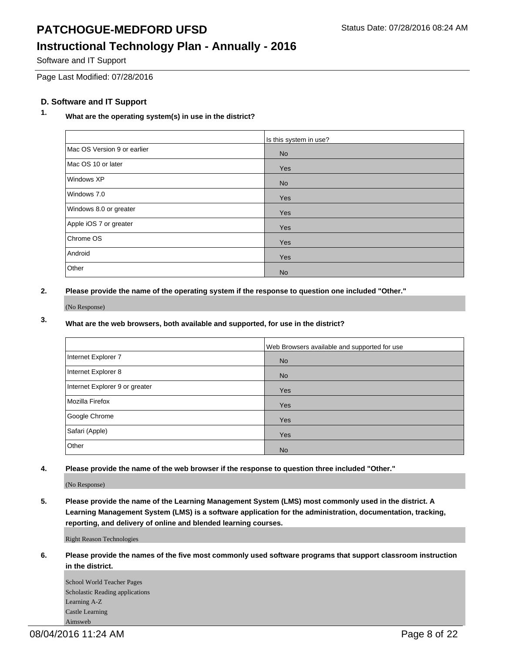### **Instructional Technology Plan - Annually - 2016**

Software and IT Support

Page Last Modified: 07/28/2016

### **D. Software and IT Support**

### **1. What are the operating system(s) in use in the district?**

|                             | Is this system in use? |
|-----------------------------|------------------------|
| Mac OS Version 9 or earlier | <b>No</b>              |
| Mac OS 10 or later          | Yes                    |
| Windows XP                  | <b>No</b>              |
| Windows 7.0                 | Yes                    |
| Windows 8.0 or greater      | Yes                    |
| Apple iOS 7 or greater      | Yes                    |
| Chrome OS                   | Yes                    |
| Android                     | Yes                    |
| Other                       | <b>No</b>              |

**2. Please provide the name of the operating system if the response to question one included "Other."** 

(No Response)

### **3. What are the web browsers, both available and supported, for use in the district?**

|                                | Web Browsers available and supported for use |
|--------------------------------|----------------------------------------------|
| Internet Explorer 7            | <b>No</b>                                    |
| Internet Explorer 8            | <b>No</b>                                    |
| Internet Explorer 9 or greater | Yes                                          |
| Mozilla Firefox                | Yes                                          |
| Google Chrome                  | Yes                                          |
| Safari (Apple)                 | Yes                                          |
| Other                          | <b>No</b>                                    |

**4. Please provide the name of the web browser if the response to question three included "Other."** 

(No Response)

**5. Please provide the name of the Learning Management System (LMS) most commonly used in the district. A Learning Management System (LMS) is a software application for the administration, documentation, tracking, reporting, and delivery of online and blended learning courses.** 

Right Reason Technologies

**6. Please provide the names of the five most commonly used software programs that support classroom instruction in the district.** 

School World Teacher Pages Scholastic Reading applications Learning A-Z Castle Learning Aimsweb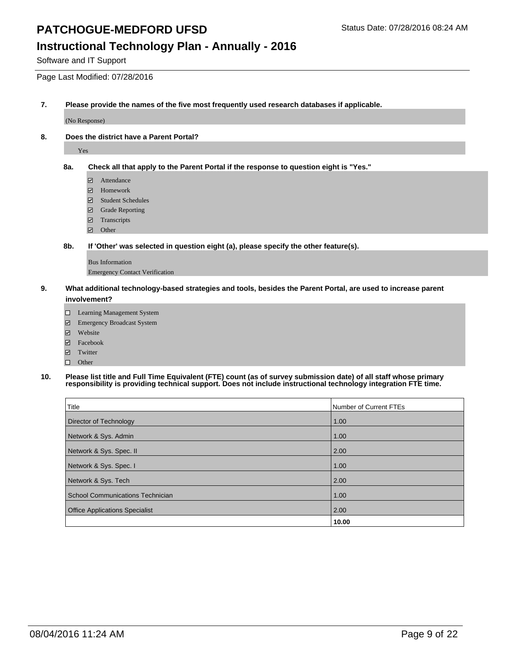### **Instructional Technology Plan - Annually - 2016**

Software and IT Support

Page Last Modified: 07/28/2016

**7. Please provide the names of the five most frequently used research databases if applicable.** 

(No Response)

**8. Does the district have a Parent Portal?** 

Yes

**8a. Check all that apply to the Parent Portal if the response to question eight is "Yes."** 

- Attendance
- Homework
- Student Schedules
- Grade Reporting
- Transcripts
- Other
- **8b. If 'Other' was selected in question eight (a), please specify the other feature(s).**

Bus Information Emergency Contact Verification

- **9. What additional technology-based strategies and tools, besides the Parent Portal, are used to increase parent involvement?** 
	- Learning Management System
	- Emergency Broadcast System
	- Website
	- Facebook
	- **z** Twitter
	- $\Box$  Other
- **10. Please list title and Full Time Equivalent (FTE) count (as of survey submission date) of all staff whose primary responsibility is providing technical support. Does not include instructional technology integration FTE time.**

| Title                                   | Number of Current FTEs |
|-----------------------------------------|------------------------|
| Director of Technology                  | 1.00                   |
| Network & Sys. Admin                    | 1.00                   |
| Network & Sys. Spec. II                 | 2.00                   |
| Network & Sys. Spec. I                  | 1.00                   |
| Network & Sys. Tech                     | 2.00                   |
| <b>School Communications Technician</b> | 1.00                   |
| <b>Office Applications Specialist</b>   | 2.00                   |
|                                         | 10.00                  |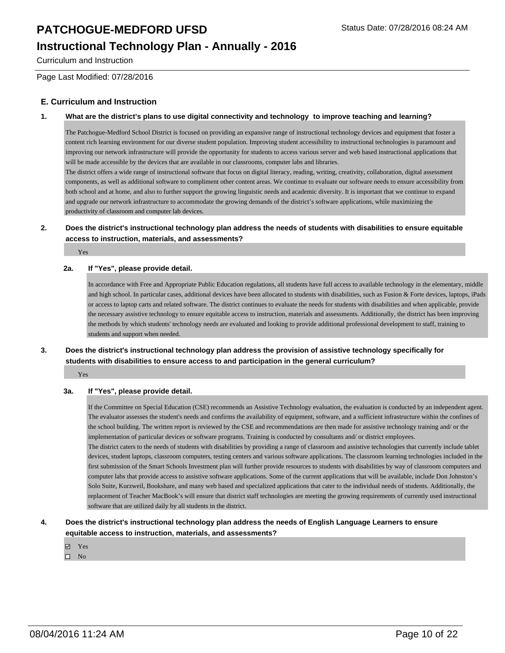### **Instructional Technology Plan - Annually - 2016**

Curriculum and Instruction

Page Last Modified: 07/28/2016

#### **E. Curriculum and Instruction**

#### **1. What are the district's plans to use digital connectivity and technology to improve teaching and learning?**

The Patchogue-Medford School District is focused on providing an expansive range of instructional technology devices and equipment that foster a content rich learning environment for our diverse student population. Improving student accessibility to instructional technologies is paramount and improving our network infrastructure will provide the opportunity for students to access various server and web based instructional applications that will be made accessible by the devices that are available in our classrooms, computer labs and libraries.

The district offers a wide range of instructional software that focus on digital literacy, reading, writing, creativity, collaboration, digital assessment components, as well as additional software to compliment other content areas. We continue to evaluate our software needs to ensure accessibility from both school and at home, and also to further support the growing linguistic needs and academic diversity. It is important that we continue to expand and upgrade our network infrastructure to accommodate the growing demands of the district's software applications, while maximizing the productivity of classroom and computer lab devices.

#### **2. Does the district's instructional technology plan address the needs of students with disabilities to ensure equitable access to instruction, materials, and assessments?**

Yes

#### **2a. If "Yes", please provide detail.**

In accordance with Free and Appropriate Public Education regulations, all students have full access to available technology in the elementary, middle and high school. In particular cases, additional devices have been allocated to students with disabilities, such as Fusion & Forte devices, laptops, iPads or access to laptop carts and related software. The district continues to evaluate the needs for students with disabilities and when applicable, provide the necessary assistive technology to ensure equitable access to instruction, materials and assessments. Additionally, the district has been improving the methods by which students' technology needs are evaluated and looking to provide additional professional development to staff, training to students and support when needed.

#### **3. Does the district's instructional technology plan address the provision of assistive technology specifically for students with disabilities to ensure access to and participation in the general curriculum?**

Yes

#### **3a. If "Yes", please provide detail.**

If the Committee on Special Education (CSE) recommends an Assistive Technology evaluation, the evaluation is conducted by an independent agent. The evaluator assesses the student's needs and confirms the availability of equipment, software, and a sufficient infrastructure within the confines of the school building. The written report is reviewed by the CSE and recommendations are then made for assistive technology training and/ or the implementation of particular devices or software programs. Training is conducted by consultants and/ or district employees.

The district caters to the needs of students with disabilities by providing a range of classroom and assistive technologies that currently include tablet devices, student laptops, classroom computers, testing centers and various software applications. The classroom learning technologies included in the first submission of the Smart Schools Investment plan will further provide resources to students with disabilities by way of classroom computers and computer labs that provide access to assistive software applications. Some of the current applications that will be available, include Don Johnston's Solo Suite, Kurzweil, Bookshare, and many web based and specialized applications that cater to the individual needs of students. Additionally, the replacement of Teacher MacBook's will ensure that district staff technologies are meeting the growing requirements of currently used instructional software that are utilized daily by all students in the district.

#### **4. Does the district's instructional technology plan address the needs of English Language Learners to ensure equitable access to instruction, materials, and assessments?**

- Yes
- $\Box$  No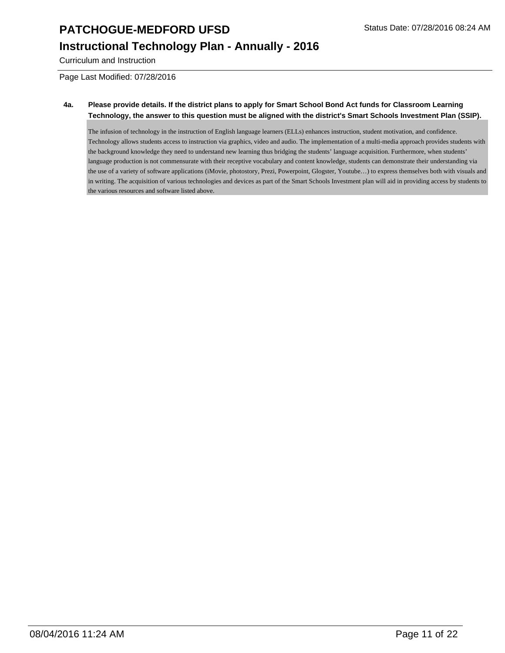### **Instructional Technology Plan - Annually - 2016**

Curriculum and Instruction

Page Last Modified: 07/28/2016

#### **4a. Please provide details. If the district plans to apply for Smart School Bond Act funds for Classroom Learning Technology, the answer to this question must be aligned with the district's Smart Schools Investment Plan (SSIP).**

The infusion of technology in the instruction of English language learners (ELLs) enhances instruction, student motivation, and confidence. Technology allows students access to instruction via graphics, video and audio. The implementation of a multi-media approach provides students with the background knowledge they need to understand new learning thus bridging the students' language acquisition. Furthermore, when students' language production is not commensurate with their receptive vocabulary and content knowledge, students can demonstrate their understanding via the use of a variety of software applications (iMovie, photostory, Prezi, Powerpoint, Glogster, Youtube…) to express themselves both with visuals and in writing. The acquisition of various technologies and devices as part of the Smart Schools Investment plan will aid in providing access by students to the various resources and software listed above.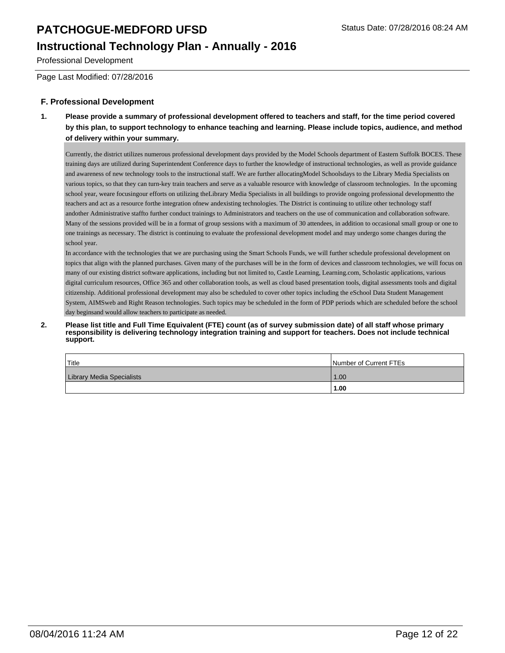### **Instructional Technology Plan - Annually - 2016**

Professional Development

Page Last Modified: 07/28/2016

#### **F. Professional Development**

**1. Please provide a summary of professional development offered to teachers and staff, for the time period covered by this plan, to support technology to enhance teaching and learning. Please include topics, audience, and method of delivery within your summary.** 

Currently, the district utilizes numerous professional development days provided by the Model Schools department of Eastern Suffolk BOCES. These training days are utilized during Superintendent Conference days to further the knowledge of instructional technologies, as well as provide guidance and awareness of new technology tools to the instructional staff. We are further allocating Model Schoolsdays to the Library Media Specialists on various topics, so that they can turn-key train teachers and serve as a valuable resource with knowledge of classroom technologies. In the upcoming school year, we are focusing our efforts on utilizing the Library Media Specialists in all buildings to provide ongoing professional development to the teachers and act as a resource forthe integration of new andexisting technologies. The District is continuing to utilize other technology staff andother Administrative staffto further conduct trainings to Administrators and teachers on the use of communication and collaboration software. Many of the sessions provided will be in a format of group sessions with a maximum of 30 attendees, in addition to occasional small group or one to one trainings as necessary. The district is continuing to evaluate the professional development model and may undergo some changes during the school year.

In accordance with the technologies that we are purchasing using the Smart Schools Funds, we will further schedule professional development on topics that align with the planned purchases. Given many of the purchases will be in the form of devices and classroom technologies, we will focus on many of our existing district software applications, including but not limited to, Castle Learning, Learning.com, Scholastic applications, various digital curriculum resources, Office 365 and other collaboration tools, as well as cloud based presentation tools, digital assessments tools and digital citizenship. Additional professional development may also be scheduled to cover other topics including the eSchool Data Student Management System, AIMSweb and Right Reason technologies. Such topics may be scheduled in the form of PDP periods which are scheduled before the school day begins and would allow teachers to participate as needed.

#### 2. Please list title and Full Time Equivalent (FTE) count (as of survey submission date) of all staff whose primary **responsibility is delivering technology integration training and support for teachers. Does not include technical support.**

| $ $ Title                        | Number of Current FTEs |
|----------------------------------|------------------------|
| <b>Library Media Specialists</b> | 1.00                   |
|                                  | 1.00                   |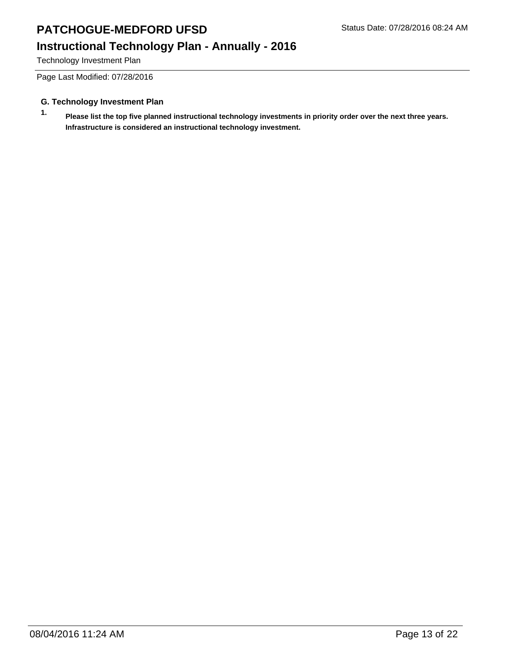### **Instructional Technology Plan - Annually - 2016**

Technology Investment Plan

Page Last Modified: 07/28/2016

#### **G. Technology Investment Plan**

**1. Please list the top five planned instructional technology investments in priority order over the next three years. Infrastructure is considered an instructional technology investment.**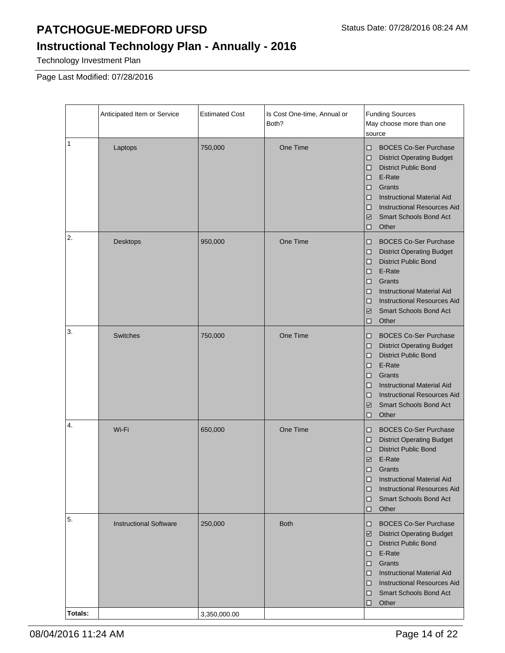# **Instructional Technology Plan - Annually - 2016**

Technology Investment Plan

Page Last Modified: 07/28/2016

|         | Anticipated Item or Service   | <b>Estimated Cost</b> | Is Cost One-time, Annual or<br>Both? | <b>Funding Sources</b><br>May choose more than one<br>source                                                                                                                                                                                                                                                      |
|---------|-------------------------------|-----------------------|--------------------------------------|-------------------------------------------------------------------------------------------------------------------------------------------------------------------------------------------------------------------------------------------------------------------------------------------------------------------|
| 1       | Laptops                       | 750,000               | One Time                             | <b>BOCES Co-Ser Purchase</b><br>□<br><b>District Operating Budget</b><br>□<br><b>District Public Bond</b><br>$\Box$<br>E-Rate<br>□<br>Grants<br>□<br><b>Instructional Material Aid</b><br>O<br><b>Instructional Resources Aid</b><br>□<br><b>Smart Schools Bond Act</b><br>$\overline{\mathscr{L}}$<br>Other<br>□ |
| 2.      | Desktops                      | 950,000               | One Time                             | <b>BOCES Co-Ser Purchase</b><br>o<br><b>District Operating Budget</b><br>□<br><b>District Public Bond</b><br>□<br>E-Rate<br>□<br>Grants<br>□<br><b>Instructional Material Aid</b><br>□<br><b>Instructional Resources Aid</b><br>□<br><b>Smart Schools Bond Act</b><br>$\overline{\mathscr{L}}$<br>Other<br>□      |
| 3.      | Switches                      | 750,000               | One Time                             | <b>BOCES Co-Ser Purchase</b><br>□<br><b>District Operating Budget</b><br>□<br><b>District Public Bond</b><br>$\Box$<br>E-Rate<br>□<br>Grants<br>□<br><b>Instructional Material Aid</b><br>□<br><b>Instructional Resources Aid</b><br>$\Box$<br>Smart Schools Bond Act<br>$\checkmark$<br>Other<br>□               |
| 4.      | Wi-Fi                         | 650,000               | One Time                             | <b>BOCES Co-Ser Purchase</b><br>o<br><b>District Operating Budget</b><br>□<br><b>District Public Bond</b><br>□<br>E-Rate<br>$\checkmark$<br>Grants<br>□<br><b>Instructional Material Aid</b><br>∣□<br><b>Instructional Resources Aid</b><br>O<br><b>Smart Schools Bond Act</b><br>10<br>Other<br>$\Box$           |
| 5.      | <b>Instructional Software</b> | 250,000               | <b>Both</b>                          | <b>BOCES Co-Ser Purchase</b><br>o<br><b>District Operating Budget</b><br>⊻<br><b>District Public Bond</b><br>o<br>E-Rate<br>D.<br>Grants<br>$\Box$<br><b>Instructional Material Aid</b><br>D.<br><b>Instructional Resources Aid</b><br>O<br><b>Smart Schools Bond Act</b><br>O<br>Other<br>◻                      |
| Totals: |                               | 3,350,000.00          |                                      |                                                                                                                                                                                                                                                                                                                   |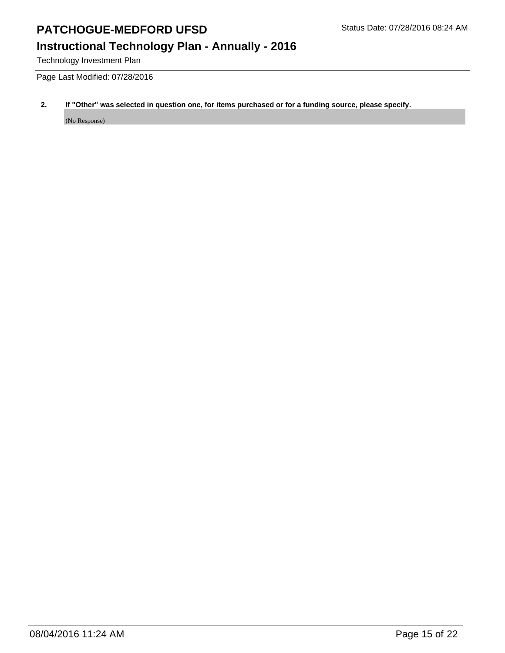## **Instructional Technology Plan - Annually - 2016**

Technology Investment Plan

Page Last Modified: 07/28/2016

### **2. If "Other" was selected in question one, for items purchased or for a funding source, please specify.**

(No Response)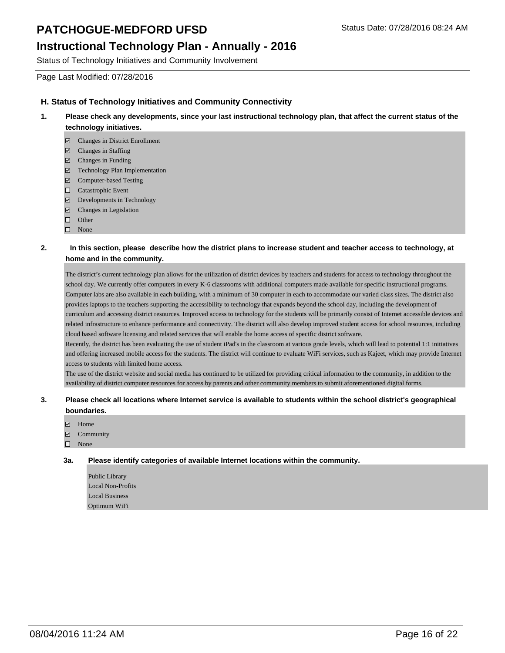### **Instructional Technology Plan - Annually - 2016**

Status of Technology Initiatives and Community Involvement

Page Last Modified: 07/28/2016

#### **H. Status of Technology Initiatives and Community Connectivity**

- **1. Please check any developments, since your last instructional technology plan, that affect the current status of the technology initiatives.** 
	- Changes in District Enrollment
	- Changes in Staffing
	- $\boxdot$  Changes in Funding
	- Technology Plan Implementation
	- Computer-based Testing
	- □ Catastrophic Event
	- Developments in Technology
	- Changes in Legislation
	- $\Box$  Other
	- $\square$  None

#### **2. In this section, please describe how the district plans to increase student and teacher access to technology, at home and in the community.**

The district's current technology plan allows for the utilization of district devices by teachers and students for access to technology throughout the school day. We currently offer computers in every K-6 classrooms with additional computers made available for specific instructional programs. Computer labs are also available in each building, with a minimum of 30 computer in each to accommodate our varied class sizes. The district also provides laptops to the teachers supporting the accessibility to technology that expands beyond the school day, including the development of curriculum and accessing district resources. Improved access to technology for the students will be primarily consist of Internet accessible devices and related infrastructure to enhance performance and connectivity. The district will also develop improved student access for school resources, including cloud based software licensing and related services that will enable the home access of specific district software.

Recently, the district has been evaluating the use of student iPad's in the classroom at various grade levels, which will lead to potential 1:1 initiatives and offering increased mobile access for the students. The district will continue to evaluate WiFi services, such as Kajeet, which may provide Internet access to students with limited home access.

The use of the district website and social media has continued to be utilized for providing critical information to the community, in addition to the availability of district computer resources for access by parents and other community members to submit aforementioned digital forms.

#### **3. Please check all locations where Internet service is available to students within the school district's geographical boundaries.**

- Home
- **Z** Community
- None

**3a. Please identify categories of available Internet locations within the community.** 

Public Library Local Non-Profits Local Business Optimum WiFi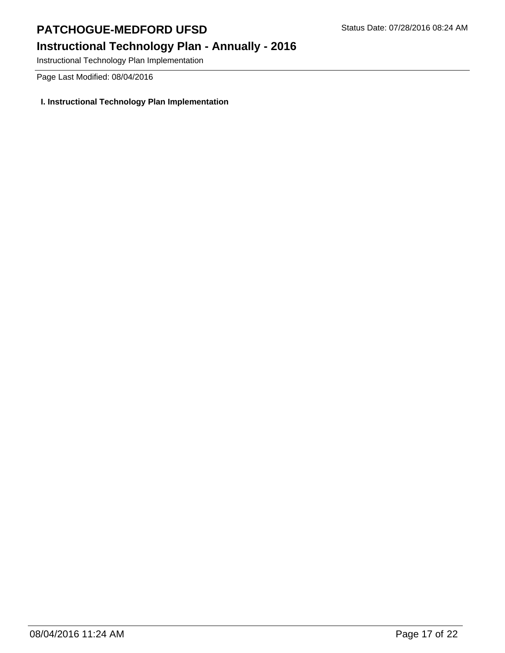## **Instructional Technology Plan - Annually - 2016**

Instructional Technology Plan Implementation

Page Last Modified: 08/04/2016

### **I. Instructional Technology Plan Implementation**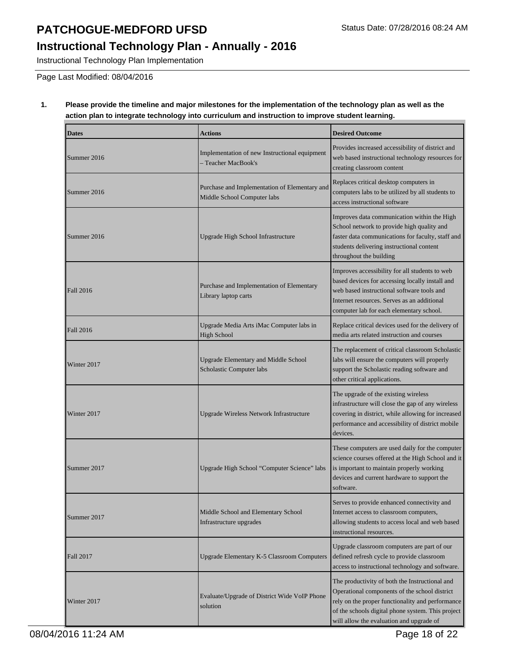## **Instructional Technology Plan - Annually - 2016**

Instructional Technology Plan Implementation

Page Last Modified: 08/04/2016

#### **1. Please provide the timeline and major milestones for the implementation of the technology plan as well as the action plan to integrate technology into curriculum and instruction to improve student learning.**

| <b>Dates</b>     | <b>Actions</b>                                                               | <b>Desired Outcome</b>                                                                                                                                                                                                                               |
|------------------|------------------------------------------------------------------------------|------------------------------------------------------------------------------------------------------------------------------------------------------------------------------------------------------------------------------------------------------|
| Summer 2016      | Implementation of new Instructional equipment<br>- Teacher MacBook's         | Provides increased accessibility of district and<br>web based instructional technology resources for<br>creating classroom content                                                                                                                   |
| Summer 2016      | Purchase and Implementation of Elementary and<br>Middle School Computer labs | Replaces critical desktop computers in<br>computers labs to be utilized by all students to<br>access instructional software                                                                                                                          |
| Summer 2016      | Upgrade High School Infrastructure                                           | Improves data communication within the High<br>School network to provide high quality and<br>faster data communications for faculty, staff and<br>students delivering instructional content<br>throughout the building                               |
| <b>Fall 2016</b> | Purchase and Implementation of Elementary<br>Library laptop carts            | Improves accessibility for all students to web<br>based devices for accessing locally install and<br>web based instructional software tools and<br>Internet resources. Serves as an additional<br>computer lab for each elementary school.           |
| <b>Fall 2016</b> | Upgrade Media Arts iMac Computer labs in<br><b>High School</b>               | Replace critical devices used for the delivery of<br>media arts related instruction and courses                                                                                                                                                      |
| Winter 2017      | <b>Upgrade Elementary and Middle School</b><br>Scholastic Computer labs      | The replacement of critical classroom Scholastic<br>labs will ensure the computers will properly<br>support the Scholastic reading software and<br>other critical applications.                                                                      |
| Winter 2017      | Upgrade Wireless Network Infrastructure                                      | The upgrade of the existing wireless<br>infrastructure will close the gap of any wireless<br>covering in district, while allowing for increased<br>performance and accessibility of district mobile<br>devices.                                      |
| Summer 2017      | Upgrade High School "Computer Science" labs                                  | These computers are used daily for the computer<br>science courses offered at the High School and it<br>is important to maintain properly working<br>devices and current hardware to support the<br>software.                                        |
| Summer 2017      | Middle School and Elementary School<br>Infrastructure upgrades               | Serves to provide enhanced connectivity and<br>Internet access to classroom computers,<br>allowing students to access local and web based<br>instructional resources.                                                                                |
| <b>Fall 2017</b> | <b>Upgrade Elementary K-5 Classroom Computers</b>                            | Upgrade classroom computers are part of our<br>defined refresh cycle to provide classroom<br>access to instructional technology and software.                                                                                                        |
| Winter 2017      | Evaluate/Upgrade of District Wide VoIP Phone<br>solution                     | The productivity of both the Instructional and<br>Operational components of the school district<br>rely on the proper functionality and performance<br>of the schools digital phone system. This project<br>will allow the evaluation and upgrade of |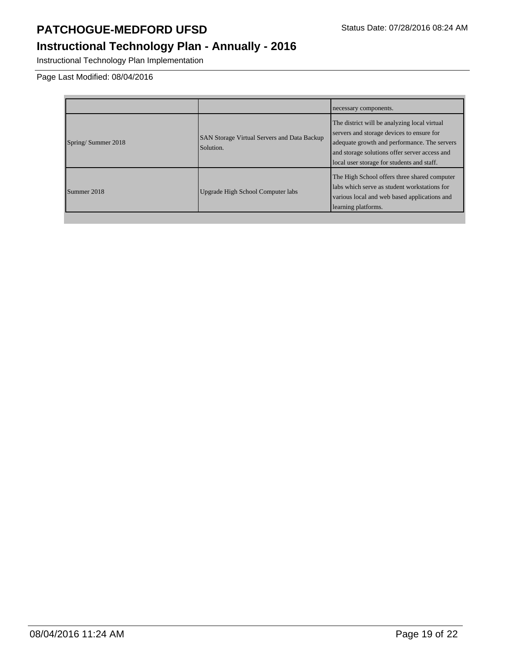Instructional Technology Plan Implementation

Page Last Modified: 08/04/2016

|                    |                                                                 | necessary components.                                                                                                                                                                                                                    |
|--------------------|-----------------------------------------------------------------|------------------------------------------------------------------------------------------------------------------------------------------------------------------------------------------------------------------------------------------|
| Spring/Summer 2018 | <b>SAN Storage Virtual Servers and Data Backup</b><br>Solution. | The district will be analyzing local virtual<br>servers and storage devices to ensure for<br>adequate growth and performance. The servers<br>and storage solutions offer server access and<br>local user storage for students and staff. |
| Summer 2018        | Upgrade High School Computer labs                               | The High School offers three shared computer<br>labs which serve as student workstations for<br>various local and web based applications and<br>learning platforms.                                                                      |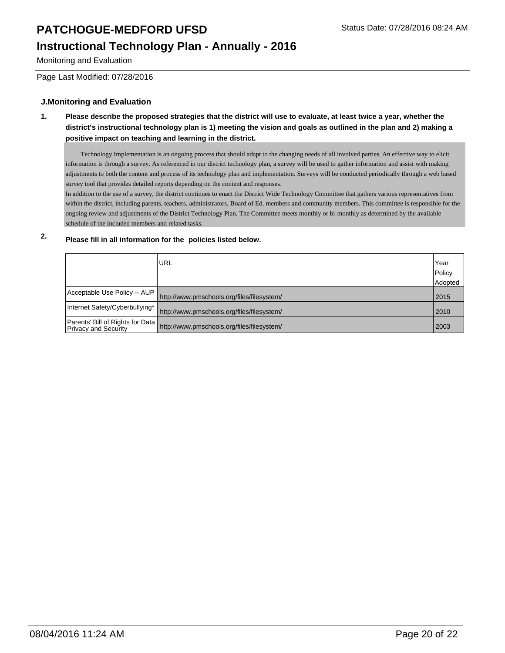# **Instructional Technology Plan - Annually - 2016**

Monitoring and Evaluation

Page Last Modified: 07/28/2016

#### **J.Monitoring and Evaluation**

**1. Please describe the proposed strategies that the district will use to evaluate, at least twice a year, whether the district's instructional technology plan is 1) meeting the vision and goals as outlined in the plan and 2) making a positive impact on teaching and learning in the district.**

 Technology Implementation is an ongoing process that should adapt to the changing needs of all involved parties. An effective way to elicit information is through a survey. As referenced in our district technology plan, a survey will be used to gather information and assist with making adjustments to both the content and process of its technology plan and implementation. Surveys will be conducted periodically through a web based survey tool that provides detailed reports depending on the content and responses.

In addition to the use of a survey, the district continues to enact the District Wide Technology Committee that gathers various representatives from within the district, including parents, teachers, administrators, Board of Ed. members and community members. This committee is responsible for the ongoing review and adjustments of the District Technology Plan. The Committee meets monthly or bi-monthly as determined by the available schedule of the included members and related tasks.

### **2. Please fill in all information for the policies listed below.**

|                                  | URL                                                                         | Year<br>Policy |
|----------------------------------|-----------------------------------------------------------------------------|----------------|
|                                  |                                                                             | Adopted        |
| Acceptable Use Policy -- AUP     | http://www.pmschools.org/files/filesystem/                                  | 2015           |
| Internet Safety/Cyberbullying* I | http://www.pmschools.org/files/filesystem/                                  | 2010           |
|                                  | Parents' Bill of Rights for Data http://www.pmschools.org/files/filesystem/ | 2003           |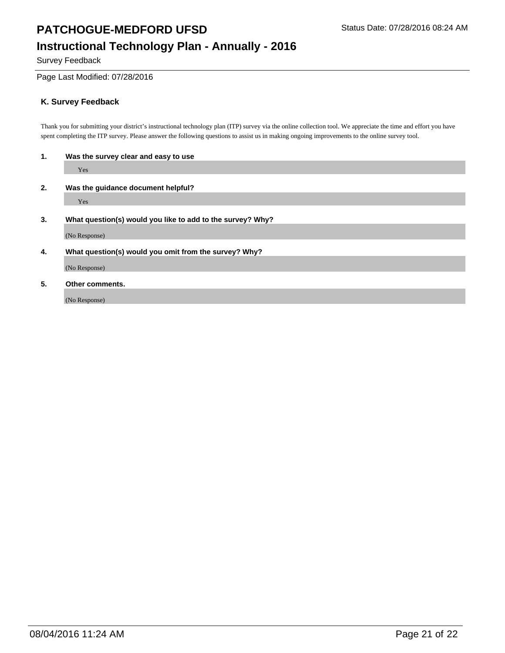Survey Feedback

#### Page Last Modified: 07/28/2016

### **K. Survey Feedback**

Thank you for submitting your district's instructional technology plan (ITP) survey via the online collection tool. We appreciate the time and effort you have spent completing the ITP survey. Please answer the following questions to assist us in making ongoing improvements to the online survey tool.

| 1. | Was the survey clear and easy to use                       |  |  |
|----|------------------------------------------------------------|--|--|
|    | Yes                                                        |  |  |
| 2. | Was the guidance document helpful?                         |  |  |
|    | Yes                                                        |  |  |
| 3. | What question(s) would you like to add to the survey? Why? |  |  |
|    | (No Response)                                              |  |  |
| 4. | What question(s) would you omit from the survey? Why?      |  |  |
|    | (No Response)                                              |  |  |
| 5. | Other comments.                                            |  |  |
|    | (No Response)                                              |  |  |
|    |                                                            |  |  |